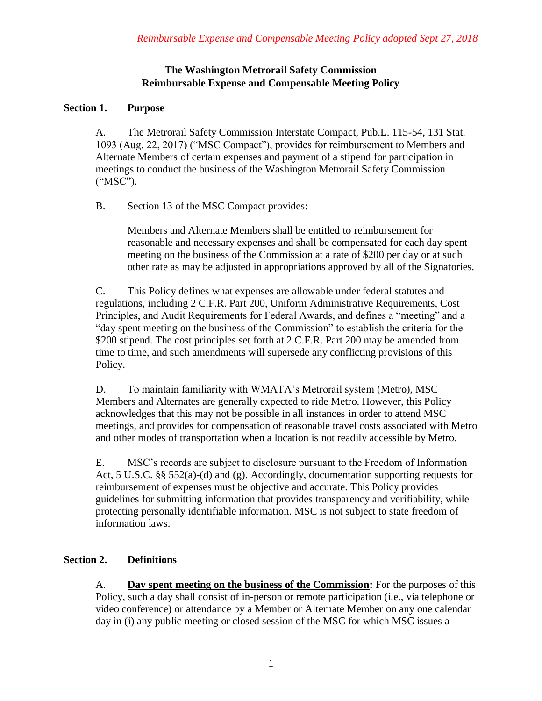# **The Washington Metrorail Safety Commission Reimbursable Expense and Compensable Meeting Policy**

#### **Section 1. Purpose**

A. The Metrorail Safety Commission Interstate Compact, Pub.L. 115-54, 131 Stat. 1093 (Aug. 22, 2017) ("MSC Compact"), provides for reimbursement to Members and Alternate Members of certain expenses and payment of a stipend for participation in meetings to conduct the business of the Washington Metrorail Safety Commission ("MSC").

B. Section 13 of the MSC Compact provides:

Members and Alternate Members shall be entitled to reimbursement for reasonable and necessary expenses and shall be compensated for each day spent meeting on the business of the Commission at a rate of \$200 per day or at such other rate as may be adjusted in appropriations approved by all of the Signatories.

C. This Policy defines what expenses are allowable under federal statutes and regulations, including 2 C.F.R. Part 200, Uniform Administrative Requirements, Cost Principles, and Audit Requirements for Federal Awards, and defines a "meeting" and a "day spent meeting on the business of the Commission" to establish the criteria for the \$200 stipend. The cost principles set forth at 2 C.F.R. Part 200 may be amended from time to time, and such amendments will supersede any conflicting provisions of this Policy.

D. To maintain familiarity with WMATA's Metrorail system (Metro), MSC Members and Alternates are generally expected to ride Metro. However, this Policy acknowledges that this may not be possible in all instances in order to attend MSC meetings, and provides for compensation of reasonable travel costs associated with Metro and other modes of transportation when a location is not readily accessible by Metro.

E. MSC's records are subject to disclosure pursuant to the Freedom of Information Act, 5 U.S.C. §§ 552(a)-(d) and (g). Accordingly, documentation supporting requests for reimbursement of expenses must be objective and accurate. This Policy provides guidelines for submitting information that provides transparency and verifiability, while protecting personally identifiable information. MSC is not subject to state freedom of information laws.

## **Section 2. Definitions**

A. **Day spent meeting on the business of the Commission:** For the purposes of this Policy, such a day shall consist of in-person or remote participation (i.e., via telephone or video conference) or attendance by a Member or Alternate Member on any one calendar day in (i) any public meeting or closed session of the MSC for which MSC issues a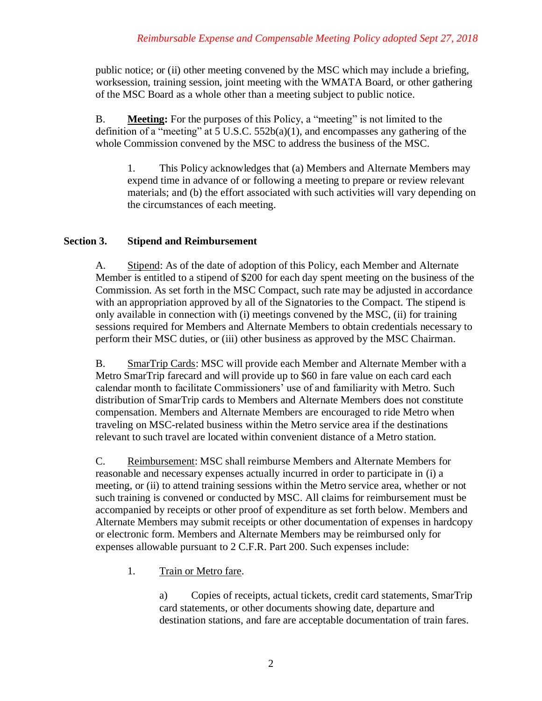public notice; or (ii) other meeting convened by the MSC which may include a briefing, worksession, training session, joint meeting with the WMATA Board, or other gathering of the MSC Board as a whole other than a meeting subject to public notice.

B. **Meeting:** For the purposes of this Policy, a "meeting" is not limited to the definition of a "meeting" at 5 U.S.C.  $552b(a)(1)$ , and encompasses any gathering of the whole Commission convened by the MSC to address the business of the MSC.

1. This Policy acknowledges that (a) Members and Alternate Members may expend time in advance of or following a meeting to prepare or review relevant materials; and (b) the effort associated with such activities will vary depending on the circumstances of each meeting.

## **Section 3. Stipend and Reimbursement**

A. Stipend: As of the date of adoption of this Policy, each Member and Alternate Member is entitled to a stipend of \$200 for each day spent meeting on the business of the Commission. As set forth in the MSC Compact, such rate may be adjusted in accordance with an appropriation approved by all of the Signatories to the Compact. The stipend is only available in connection with (i) meetings convened by the MSC, (ii) for training sessions required for Members and Alternate Members to obtain credentials necessary to perform their MSC duties, or (iii) other business as approved by the MSC Chairman.

B. SmarTrip Cards: MSC will provide each Member and Alternate Member with a Metro SmarTrip farecard and will provide up to \$60 in fare value on each card each calendar month to facilitate Commissioners' use of and familiarity with Metro. Such distribution of SmarTrip cards to Members and Alternate Members does not constitute compensation. Members and Alternate Members are encouraged to ride Metro when traveling on MSC-related business within the Metro service area if the destinations relevant to such travel are located within convenient distance of a Metro station.

C. Reimbursement: MSC shall reimburse Members and Alternate Members for reasonable and necessary expenses actually incurred in order to participate in (i) a meeting, or (ii) to attend training sessions within the Metro service area, whether or not such training is convened or conducted by MSC. All claims for reimbursement must be accompanied by receipts or other proof of expenditure as set forth below. Members and Alternate Members may submit receipts or other documentation of expenses in hardcopy or electronic form. Members and Alternate Members may be reimbursed only for expenses allowable pursuant to 2 C.F.R. Part 200. Such expenses include:

1. Train or Metro fare.

a) Copies of receipts, actual tickets, credit card statements, SmarTrip card statements, or other documents showing date, departure and destination stations, and fare are acceptable documentation of train fares.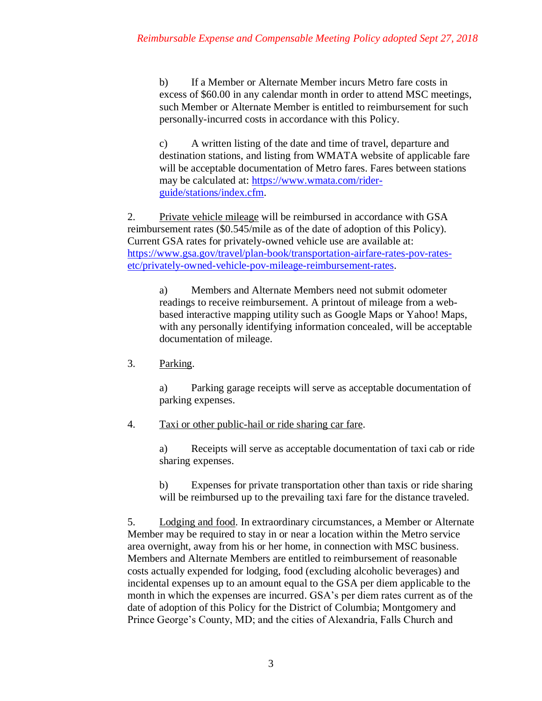b) If a Member or Alternate Member incurs Metro fare costs in excess of \$60.00 in any calendar month in order to attend MSC meetings, such Member or Alternate Member is entitled to reimbursement for such personally-incurred costs in accordance with this Policy.

c) A written listing of the date and time of travel, departure and destination stations, and listing from WMATA website of applicable fare will be acceptable documentation of Metro fares. Fares between stations may be calculated at: https://www.wmata.com/riderguide/stations/index.cfm.

2. Private vehicle mileage will be reimbursed in accordance with GSA reimbursement rates (\$0.545/mile as of the date of adoption of this Policy). Current GSA rates for privately-owned vehicle use are available at: https://www.gsa.gov/travel/plan-book/transportation-airfare-rates-pov-ratesetc/privately-owned-vehicle-pov-mileage-reimbursement-rates.

a) Members and Alternate Members need not submit odometer readings to receive reimbursement. A printout of mileage from a webbased interactive mapping utility such as Google Maps or Yahoo! Maps, with any personally identifying information concealed, will be acceptable documentation of mileage.

3. Parking.

a) Parking garage receipts will serve as acceptable documentation of parking expenses.

4. Taxi or other public-hail or ride sharing car fare.

a) Receipts will serve as acceptable documentation of taxi cab or ride sharing expenses.

b) Expenses for private transportation other than taxis or ride sharing will be reimbursed up to the prevailing taxi fare for the distance traveled.

5. Lodging and food. In extraordinary circumstances, a Member or Alternate Member may be required to stay in or near a location within the Metro service area overnight, away from his or her home, in connection with MSC business. Members and Alternate Members are entitled to reimbursement of reasonable costs actually expended for lodging, food (excluding alcoholic beverages) and incidental expenses up to an amount equal to the GSA per diem applicable to the month in which the expenses are incurred. GSA's per diem rates current as of the date of adoption of this Policy for the District of Columbia; Montgomery and Prince George's County, MD; and the cities of Alexandria, Falls Church and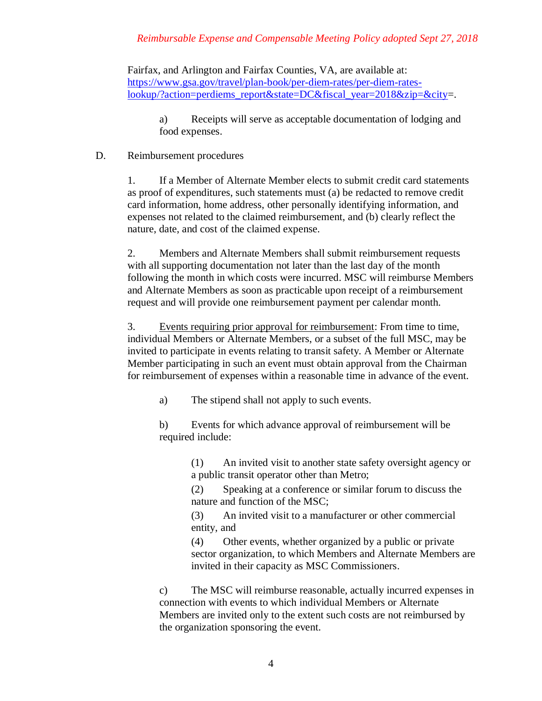## *Reimbursable Expense and Compensable Meeting Policy adopted Sept 27, 2018*

Fairfax, and Arlington and Fairfax Counties, VA, are available at: https://www.gsa.gov/travel/plan-book/per-diem-rates/per-diem-rateslookup/?action=perdiems\_report&state=DC&fiscal\_year=2018&zip=&city=.

a) Receipts will serve as acceptable documentation of lodging and food expenses.

#### D. Reimbursement procedures

1. If a Member of Alternate Member elects to submit credit card statements as proof of expenditures, such statements must (a) be redacted to remove credit card information, home address, other personally identifying information, and expenses not related to the claimed reimbursement, and (b) clearly reflect the nature, date, and cost of the claimed expense.

2. Members and Alternate Members shall submit reimbursement requests with all supporting documentation not later than the last day of the month following the month in which costs were incurred. MSC will reimburse Members and Alternate Members as soon as practicable upon receipt of a reimbursement request and will provide one reimbursement payment per calendar month.

3. Events requiring prior approval for reimbursement: From time to time, individual Members or Alternate Members, or a subset of the full MSC, may be invited to participate in events relating to transit safety. A Member or Alternate Member participating in such an event must obtain approval from the Chairman for reimbursement of expenses within a reasonable time in advance of the event.

a) The stipend shall not apply to such events.

b) Events for which advance approval of reimbursement will be required include:

> (1) An invited visit to another state safety oversight agency or a public transit operator other than Metro;

(2) Speaking at a conference or similar forum to discuss the nature and function of the MSC;

(3) An invited visit to a manufacturer or other commercial entity, and

(4) Other events, whether organized by a public or private sector organization, to which Members and Alternate Members are invited in their capacity as MSC Commissioners.

c) The MSC will reimburse reasonable, actually incurred expenses in connection with events to which individual Members or Alternate Members are invited only to the extent such costs are not reimbursed by the organization sponsoring the event.